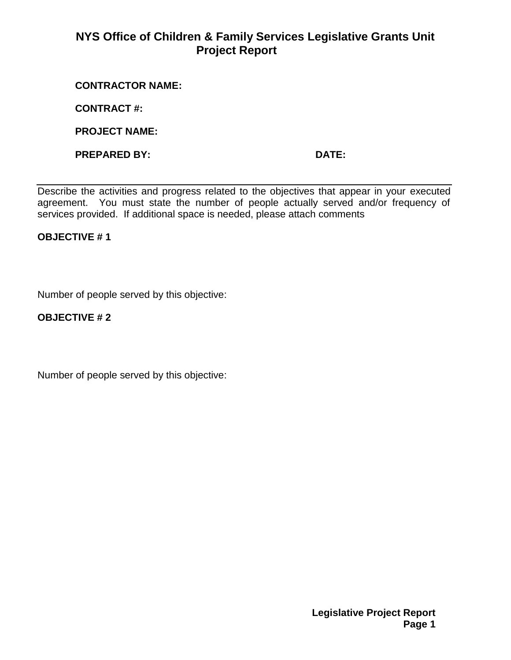# **NYS Office of Children & Family Services Legislative Grants Unit Project Report**

#### **CONTRACTOR NAME:**

**CONTRACT #:**

**PROJECT NAME:**

**PREPARED BY: DATE:**

Describe the activities and progress related to the objectives that appear in your executed agreement. You must state the number of people actually served and/or frequency of services provided. If additional space is needed, please attach comments

#### **OBJECTIVE # 1**

Number of people served by this objective:

### **OBJECTIVE # 2**

Number of people served by this objective: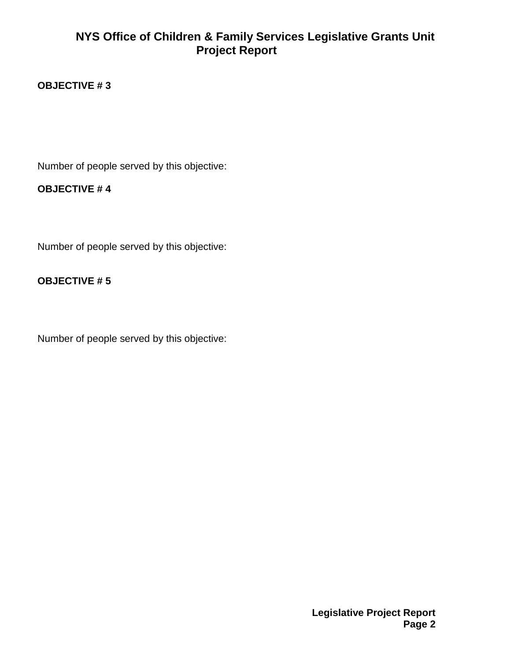# **NYS Office of Children & Family Services Legislative Grants Unit Project Report**

### **OBJECTIVE # 3**

Number of people served by this objective:

### **OBJECTIVE # 4**

Number of people served by this objective:

### **OBJECTIVE # 5**

Number of people served by this objective: